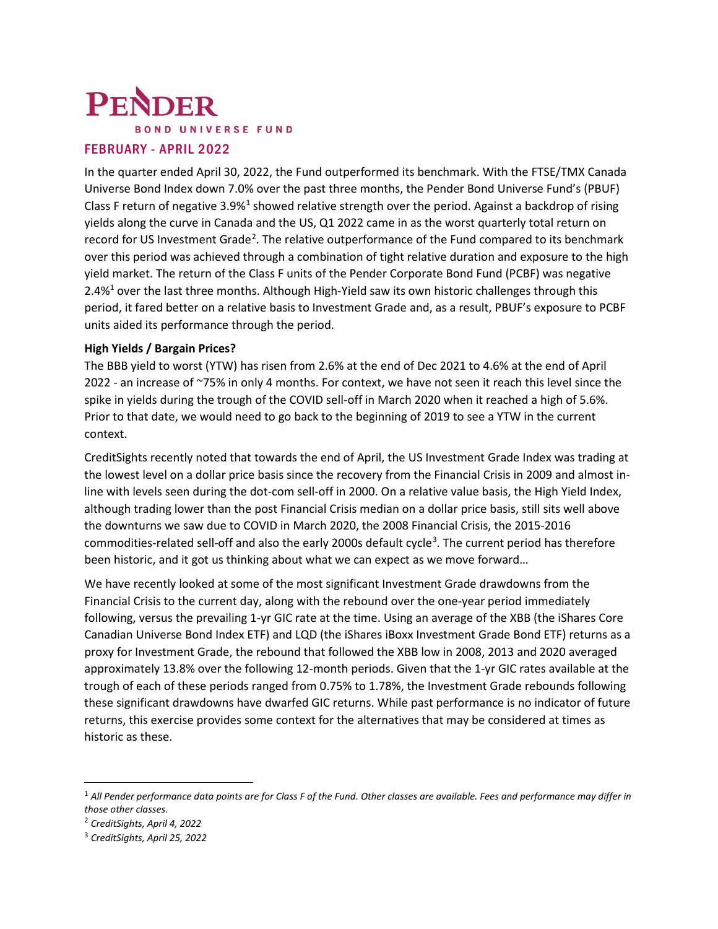# PENDER **BOND UNIVERSE FUND**

# FEBRUARY - APRIL 2022

In the quarter ended April 30, 2022, the Fund outperformed its benchmark. With the FTSE/TMX Canada Universe Bond Index down 7.0% over the past three months, the Pender Bond Universe Fund's (PBUF) Class F return of negative 3.9% $1$  showed relative strength over the period. Against a backdrop of rising yields along the curve in Canada and the US, Q1 2022 came in as the worst quarterly total return on record for US Investment Grade<sup>[2](#page-0-1)</sup>. The relative outperformance of the Fund compared to its benchmark over this period was achieved through a combination of tight relative duration and exposure to the high yield market. The return of the Class F units of the Pender Corporate Bond Fund (PCBF) was negative 2.4%<sup>1</sup> over the last three months. Although High-Yield saw its own historic challenges through this period, it fared better on a relative basis to Investment Grade and, as a result, PBUF's exposure to PCBF units aided its performance through the period.

## **High Yields / Bargain Prices?**

The BBB yield to worst (YTW) has risen from 2.6% at the end of Dec 2021 to 4.6% at the end of April 2022 - an increase of ~75% in only 4 months. For context, we have not seen it reach this level since the spike in yields during the trough of the COVID sell-off in March 2020 when it reached a high of 5.6%. Prior to that date, we would need to go back to the beginning of 2019 to see a YTW in the current context.

CreditSights recently noted that towards the end of April, the US Investment Grade Index was trading at the lowest level on a dollar price basis since the recovery from the Financial Crisis in 2009 and almost inline with levels seen during the dot-com sell-off in 2000. On a relative value basis, the High Yield Index, although trading lower than the post Financial Crisis median on a dollar price basis, still sits well above the downturns we saw due to COVID in March 2020, the 2008 Financial Crisis, the 2015-2016 commodities-related sell-off and also the early 2000s default cycle<sup>[3](#page-0-2)</sup>. The current period has therefore been historic, and it got us thinking about what we can expect as we move forward…

We have recently looked at some of the most significant Investment Grade drawdowns from the Financial Crisis to the current day, along with the rebound over the one-year period immediately following, versus the prevailing 1-yr GIC rate at the time. Using an average of the XBB (the iShares Core Canadian Universe Bond Index ETF) and LQD (the iShares iBoxx Investment Grade Bond ETF) returns as a proxy for Investment Grade, the rebound that followed the XBB low in 2008, 2013 and 2020 averaged approximately 13.8% over the following 12-month periods. Given that the 1-yr GIC rates available at the trough of each of these periods ranged from 0.75% to 1.78%, the Investment Grade rebounds following these significant drawdowns have dwarfed GIC returns. While past performance is no indicator of future returns, this exercise provides some context for the alternatives that may be considered at times as historic as these.

<span id="page-0-0"></span><sup>1</sup> *All Pender performance data points are for Class F of the Fund. Other classes are available. Fees and performance may differ in those other classes.*

<span id="page-0-1"></span><sup>2</sup> *CreditSights, April 4, 2022*

<span id="page-0-2"></span><sup>3</sup> *CreditSights, April 25, 2022*